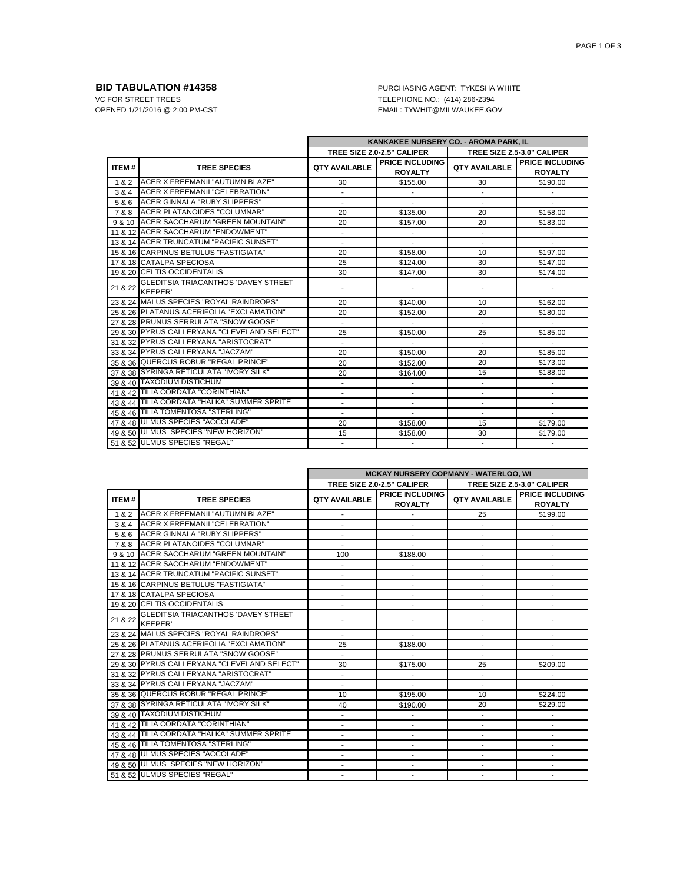**BID TABULATION #14358** PURCHASING AGENT: TYKESHA WHITE VC FOR STREET TREES VC FOR STREET TREES TELEPHONE NO.: (414) 286-2394<br>OPENED 1/21/2016 @ 2:00 PM-CST TELEPHONE TYWHIT@MILWAUKEE.GO EMAIL: TYWHIT@MILWAUKEE.GOV

|         |                                                              | KANKAKEE NURSERY CO. - AROMA PARK, IL |                                          |                            |                                          |
|---------|--------------------------------------------------------------|---------------------------------------|------------------------------------------|----------------------------|------------------------------------------|
|         |                                                              | TREE SIZE 2.0-2.5" CALIPER            |                                          | TREE SIZE 2.5-3.0" CALIPER |                                          |
| ITEM#   | <b>TREE SPECIES</b>                                          | <b>QTY AVAILABLE</b>                  | <b>PRICE INCLUDING</b><br><b>ROYALTY</b> | <b>QTY AVAILABLE</b>       | <b>PRICE INCLUDING</b><br><b>ROYALTY</b> |
| 1&2     | <b>ACER X FREEMANII "AUTUMN BLAZE"</b>                       | 30                                    | \$155.00                                 | 30                         | \$190.00                                 |
| 3 & 4   | ACER X FREEMANII "CELEBRATION"                               |                                       |                                          | $\blacksquare$             |                                          |
| 5 & 6   | <b>ACER GINNALA "RUBY SLIPPERS"</b>                          |                                       |                                          | ä,                         |                                          |
| 7&8     | <b>ACER PLATANOIDES "COLUMNAR"</b>                           | 20                                    | \$135.00                                 | 20                         | \$158.00                                 |
|         | 9 & 10 ACER SACCHARUM "GREEN MOUNTAIN"                       | 20                                    | \$157.00                                 | 20                         | \$183.00                                 |
|         | 11 & 12 ACER SACCHARUM "ENDOWMENT"                           |                                       |                                          | $\blacksquare$             |                                          |
|         | 13 & 14 ACER TRUNCATUM "PACIFIC SUNSET"                      | $\overline{\phantom{a}}$              |                                          | $\overline{a}$             |                                          |
|         | 15 & 16 CARPINUS BETULUS "FASTIGIATA"                        | 20                                    | \$158.00                                 | 10                         | \$197.00                                 |
|         | 17 & 18 CATALPA SPECIOSA                                     | 25                                    | \$124.00                                 | 30                         | \$147.00                                 |
|         | 19 & 20 CELTIS OCCIDENTALIS                                  | 30                                    | \$147.00                                 | 30                         | \$174.00                                 |
| 21 & 22 | <b>GLEDITSIA TRIACANTHOS 'DAVEY STREET</b><br><b>KEEPER'</b> |                                       |                                          |                            |                                          |
|         | 23 & 24 MALUS SPECIES "ROYAL RAINDROPS"                      | 20                                    | \$140.00                                 | 10                         | \$162.00                                 |
|         | 25 & 26 PLATANUS ACERIFOLIA "EXCLAMATION"                    | 20                                    | \$152.00                                 | 20                         | \$180.00                                 |
|         | 27 & 28 PRUNUS SERRULATA "SNOW GOOSE"                        | ÷.                                    | ÷.                                       | ÷.                         |                                          |
|         | 29 & 30 PYRUS CALLERYANA "CLEVELAND SELECT"                  | 25                                    | \$150.00                                 | 25                         | \$185.00                                 |
|         | 31 & 32 PYRUS CALLERYANA "ARISTOCRAT"                        | ÷.                                    | $\sim$                                   | $\overline{\phantom{a}}$   | $\mathcal{L}_{\mathcal{A}}$              |
|         | 33 & 34 PYRUS CALLERYANA "JACZAM"                            | 20                                    | \$150.00                                 | 20                         | \$185.00                                 |
|         | 35 & 36 QUERCUS ROBUR "REGAL PRINCE"                         | 20                                    | \$152.00                                 | 20                         | \$173.00                                 |
|         | 37 & 38 SYRINGA RETICULATA "IVORY SILK"                      | 20                                    | \$164.00                                 | 15                         | \$188.00                                 |
|         | 39 & 40 TAXODIUM DISTICHUM                                   | $\overline{\phantom{a}}$              |                                          | $\blacksquare$             | $\blacksquare$                           |
|         | 41 & 42 TILIA CORDATA "CORINTHIAN"                           |                                       |                                          |                            |                                          |
|         | 43 & 44 TILIA CORDATA "HALKA" SUMMER SPRITE                  |                                       |                                          | $\overline{a}$             | $\overline{\phantom{a}}$                 |
|         | 45 & 46 TILIA TOMENTOSA "STERLING"                           | $\blacksquare$                        | ٠                                        | $\overline{\phantom{a}}$   | ٠                                        |
|         | 47 & 48 ULMUS SPECIES "ACCOLADE"                             | 20                                    | \$158.00                                 | 15                         | \$179.00                                 |
|         | 49 & 50 ULMUS SPECIES "NEW HORIZON"                          | 15                                    | \$158.00                                 | 30                         | \$179.00                                 |
|         | 51 & 52 ULMUS SPECIES "REGAL"                                |                                       | ۰.                                       | $\mathbf{r}$               | $\sim$                                   |

|         |                                                              | <b>MCKAY NURSERY COPMANY - WATERLOO, WI</b> |                                          |                            |                                          |
|---------|--------------------------------------------------------------|---------------------------------------------|------------------------------------------|----------------------------|------------------------------------------|
|         |                                                              |                                             | TREE SIZE 2.0-2.5" CALIPER               | TREE SIZE 2.5-3.0" CALIPER |                                          |
| ITEM#   | <b>TREE SPECIES</b>                                          | <b>QTY AVAILABLE</b>                        | <b>PRICE INCLUDING</b><br><b>ROYALTY</b> | <b>QTY AVAILABLE</b>       | <b>PRICE INCLUDING</b><br><b>ROYALTY</b> |
| 1 & 2   | ACER X FREEMANII "AUTUMN BLAZE"                              | $\overline{\phantom{a}}$                    |                                          | 25                         | \$199.00                                 |
| 3 & 4   | ACER X FREEMANII "CELEBRATION"                               |                                             |                                          |                            |                                          |
| 5 & 6   | <b>ACER GINNALA "RUBY SLIPPERS"</b>                          | $\blacksquare$                              | $\blacksquare$                           | $\overline{\phantom{a}}$   | ÷.                                       |
| 7&8     | ACER PLATANOIDES "COLUMNAR"                                  |                                             |                                          |                            |                                          |
|         | 9 & 10 ACER SACCHARUM "GREEN MOUNTAIN"                       | 100                                         | \$188.00                                 |                            |                                          |
|         | 11 & 12 ACER SACCHARUM "ENDOWMENT"                           | $\blacksquare$                              |                                          |                            | ٠                                        |
|         | 13 & 14 ACER TRUNCATUM "PACIFIC SUNSET"                      |                                             |                                          |                            |                                          |
|         | 15 & 16 CARPINUS BETULUS "FASTIGIATA"                        | ٠                                           | $\overline{a}$                           |                            | ä,                                       |
|         | 17 & 18 CATALPA SPECIOSA                                     |                                             |                                          |                            |                                          |
|         | 19 & 20 CELTIS OCCIDENTALIS                                  |                                             |                                          |                            |                                          |
| 21 & 22 | <b>GLEDITSIA TRIACANTHOS 'DAVEY STREET</b><br><b>KEEPER'</b> |                                             |                                          |                            |                                          |
|         | 23 & 24 MALUS SPECIES "ROYAL RAINDROPS"                      |                                             |                                          |                            |                                          |
|         | 25 & 26 PLATANUS ACERIFOLIA "EXCLAMATION"                    | 25                                          | \$188.00                                 | $\blacksquare$             | ٠                                        |
|         | 27 & 28 PRUNUS SERRULATA "SNOW GOOSE"                        |                                             |                                          |                            |                                          |
|         | 29 & 30 PYRUS CALLERYANA "CLEVELAND SELECT"                  | 30                                          | \$175.00                                 | 25                         | \$209.00                                 |
|         | 31 & 32 PYRUS CALLERYANA "ARISTOCRAT"                        |                                             |                                          |                            |                                          |
|         | 33 & 34 PYRUS CALLERYANA "JACZAM"                            |                                             |                                          |                            |                                          |
|         | 35 & 36 QUERCUS ROBUR "REGAL PRINCE"                         | 10                                          | \$195.00                                 | 10                         | \$224.00                                 |
|         | 37 & 38 SYRINGA RETICULATA "IVORY SILK"                      | 40                                          | \$190.00                                 | 20                         | \$229.00                                 |
|         | 39 & 40 TAXODIUM DISTICHUM                                   | $\blacksquare$                              |                                          | $\blacksquare$             | ٠                                        |
|         | 41 & 42 TILIA CORDATA "CORINTHIAN"                           |                                             | ÷                                        |                            |                                          |
|         | 43 & 44 TILIA CORDATA "HALKA" SUMMER SPRITE                  |                                             | $\overline{a}$                           |                            | ÷                                        |
|         | 45 & 46 TILIA TOMENTOSA "STERLING"                           | $\blacksquare$                              | ٠                                        | $\blacksquare$             | ٠                                        |
|         | 47 & 48 ULMUS SPECIES "ACCOLADE"                             |                                             |                                          |                            |                                          |
|         | 49 & 50 ULMUS SPECIES "NEW HORIZON"                          |                                             | ÷                                        |                            |                                          |
|         | 51 & 52 ULMUS SPECIES "REGAL"                                |                                             |                                          |                            |                                          |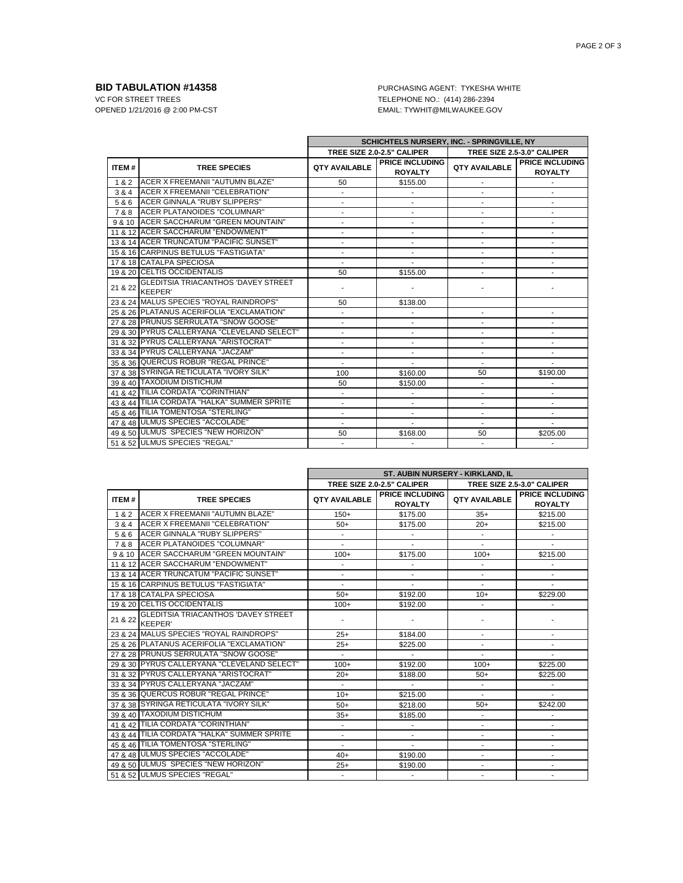**BID TABULATION #14358** PURCHASING AGENT: TYKESHA WHITE VC FOR STREET TREES VC FOR STREET TREES TELEPHONE NO.: (414) 286-2394<br>OPENED 1/21/2016 @ 2:00 PM-CST TELEPHONE TYWHIT@MILWAUKEE.GO EMAIL: TYWHIT@MILWAUKEE.GOV

|              |                                                              | SCHICHTELS NURSERY, INC. - SPRINGVILLE, NY |                                          |                            |                                          |
|--------------|--------------------------------------------------------------|--------------------------------------------|------------------------------------------|----------------------------|------------------------------------------|
|              |                                                              | TREE SIZE 2.0-2.5" CALIPER                 |                                          | TREE SIZE 2.5-3.0" CALIPER |                                          |
| <b>ITEM#</b> | <b>TREE SPECIES</b>                                          | <b>QTY AVAILABLE</b>                       | <b>PRICE INCLUDING</b><br><b>ROYALTY</b> | <b>QTY AVAILABLE</b>       | <b>PRICE INCLUDING</b><br><b>ROYALTY</b> |
| 1&2          | ACER X FREEMANII "AUTUMN BLAZE"                              | 50                                         | \$155.00                                 |                            |                                          |
|              | 3 & 4 ACER X FREEMANII "CELEBRATION"                         |                                            |                                          |                            |                                          |
| 5&6          | ACER GINNALA "RUBY SLIPPERS"                                 |                                            |                                          |                            | ٠                                        |
|              | 7 & 8 ACER PLATANOIDES "COLUMNAR"                            |                                            | $\blacksquare$                           | ÷.                         | $\blacksquare$                           |
|              | 9 & 10 ACER SACCHARUM "GREEN MOUNTAIN"                       |                                            |                                          |                            |                                          |
|              | 11 & 12 ACER SACCHARUM "ENDOWMENT"                           |                                            |                                          |                            | ٠                                        |
|              | 13 & 14 ACER TRUNCATUM "PACIFIC SUNSET"                      |                                            |                                          |                            |                                          |
|              | 15 & 16 CARPINUS BETULUS "FASTIGIATA"                        |                                            |                                          |                            | ٠                                        |
|              | 17 & 18 CATALPA SPECIOSA                                     |                                            |                                          |                            | ٠                                        |
|              | 19 & 20 CELTIS OCCIDENTALIS                                  | 50                                         | \$155.00                                 |                            |                                          |
| 21 & 22      | <b>GLEDITSIA TRIACANTHOS 'DAVEY STREET</b><br><b>KEEPER'</b> |                                            |                                          |                            |                                          |
|              | 23 & 24 MALUS SPECIES "ROYAL RAINDROPS"                      | 50                                         | \$138.00                                 |                            |                                          |
|              | 25 & 26 PLATANUS ACERIFOLIA "EXCLAMATION"                    |                                            |                                          |                            | ٠                                        |
|              | 27 & 28 PRUNUS SERRULATA "SNOW GOOSE"                        |                                            |                                          |                            |                                          |
|              | 29 & 30 PYRUS CALLERYANA "CLEVELAND SELECT"                  |                                            |                                          |                            | ٠                                        |
|              | 31 & 32 PYRUS CALLERYANA "ARISTOCRAT"                        |                                            |                                          |                            |                                          |
|              | 33 & 34 PYRUS CALLERYANA "JACZAM"                            |                                            |                                          | ÷,                         | $\overline{\phantom{a}}$                 |
|              | 35 & 36 QUERCUS ROBUR "REGAL PRINCE"                         | $\blacksquare$                             | $\sim$                                   | $\blacksquare$             | $\blacksquare$                           |
|              | 37 & 38 SYRINGA RETICULATA "IVORY SILK"                      | 100                                        | \$160.00                                 | 50                         | \$190.00                                 |
|              | 39 & 40 TAXODIUM DISTICHUM                                   | 50                                         | \$150.00                                 | $\overline{\phantom{a}}$   | ٠                                        |
|              | 41 & 42 TILIA CORDATA "CORINTHIAN"                           |                                            |                                          |                            |                                          |
|              | 43 & 44 TILIA CORDATA "HALKA" SUMMER SPRITE                  |                                            |                                          |                            | $\blacksquare$                           |
|              | 45 & 46 TILIA TOMENTOSA "STERLING"                           |                                            | ٠                                        | $\overline{a}$             | ٠                                        |
|              | 47 & 48 ULMUS SPECIES "ACCOLADE"                             |                                            |                                          |                            |                                          |
|              | 49 & 50 ULMUS SPECIES "NEW HORIZON"                          | 50                                         | \$168.00                                 | 50                         | \$205.00                                 |
|              | 51 & 52 ULMUS SPECIES "REGAL"                                |                                            |                                          | $\blacksquare$             | $\blacksquare$                           |

|              |                                                              | ST. AUBIN NURSERY - KIRKLAND. IL |                                          |                            |                                          |
|--------------|--------------------------------------------------------------|----------------------------------|------------------------------------------|----------------------------|------------------------------------------|
|              |                                                              |                                  | TREE SIZE 2.0-2.5" CALIPER               | TREE SIZE 2.5-3.0" CALIPER |                                          |
| <b>ITEM#</b> | <b>TREE SPECIES</b>                                          | <b>QTY AVAILABLE</b>             | <b>PRICE INCLUDING</b><br><b>ROYALTY</b> | <b>QTY AVAILABLE</b>       | <b>PRICE INCLUDING</b><br><b>ROYALTY</b> |
| 1 & 2        | <b>ACER X FREEMANII "AUTUMN BLAZE"</b>                       | $150+$                           | \$175.00                                 | $35+$                      | \$215.00                                 |
| 3 & 4        | <b>ACER X FREEMANII "CELEBRATION"</b>                        | $50+$                            | \$175.00                                 | $20+$                      | \$215.00                                 |
| 5 & 6        | ACER GINNALA "RUBY SLIPPERS"                                 | $\blacksquare$                   |                                          | $\overline{\phantom{a}}$   | ٠                                        |
| 7 & 8        | <b>ACER PLATANOIDES "COLUMNAR"</b>                           |                                  | ÷,                                       | ä,                         | ä,                                       |
|              | 9 & 10 ACER SACCHARUM "GREEN MOUNTAIN"                       | $100+$                           | \$175.00                                 | $100+$                     | \$215.00                                 |
|              | 11 & 12 ACER SACCHARUM "ENDOWMENT"                           | $\overline{\phantom{a}}$         |                                          | $\mathbf{r}$               |                                          |
|              | 13 & 14 ACER TRUNCATUM "PACIFIC SUNSET"                      |                                  |                                          | ä,                         |                                          |
|              | 15 & 16 CARPINUS BETULUS "FASTIGIATA"                        |                                  |                                          | $\frac{1}{2}$              |                                          |
|              | 17 & 18 CATALPA SPECIOSA                                     | $50+$                            | \$192.00                                 | $10+$                      | \$229.00                                 |
|              | 19 & 20 CELTIS OCCIDENTALIS                                  | $100+$                           | \$192.00                                 |                            |                                          |
| 21 & 22      | <b>GLEDITSIA TRIACANTHOS 'DAVEY STREET</b><br><b>KEEPER'</b> |                                  |                                          |                            |                                          |
|              | 23 & 24 MALUS SPECIES "ROYAL RAINDROPS"                      | $25+$                            | \$184.00                                 | $\blacksquare$             | ٠                                        |
|              | 25 & 26 PLATANUS ACERIFOLIA "EXCLAMATION"                    | $25+$                            | \$225.00                                 | $\overline{\phantom{a}}$   | ٠                                        |
|              | 27 & 28 PRUNUS SERRULATA "SNOW GOOSE"                        | $\sim$                           | ÷.                                       |                            |                                          |
|              | 29 & 30 PYRUS CALLERYANA "CLEVELAND SELECT"                  | $100+$                           | \$192.00                                 | $100+$                     | \$225.00                                 |
|              | 31 & 32 PYRUS CALLERYANA "ARISTOCRAT"                        | $20+$                            | \$188.00                                 | $50+$                      | \$225.00                                 |
|              | 33 & 34 PYRUS CALLERYANA "JACZAM"                            | $\blacksquare$                   | ÷.                                       | $\blacksquare$             | ÷                                        |
|              | 35 & 36 QUERCUS ROBUR "REGAL PRINCE"                         | $10+$                            | \$215.00                                 | $\blacksquare$             |                                          |
|              | 37 & 38 SYRINGA RETICULATA "IVORY SILK"                      | $50+$                            | \$218.00                                 | $50+$                      | \$242.00                                 |
|              | 39 & 40 TAXODIUM DISTICHUM                                   | $35+$                            | \$185.00                                 | $\overline{\phantom{a}}$   |                                          |
|              | 41 & 42 TILIA CORDATA "CORINTHIAN"                           | ÷.                               |                                          | $\blacksquare$             | ÷.                                       |
|              | 43 & 44 TILIA CORDATA "HALKA" SUMMER SPRITE                  | $\blacksquare$                   | $\blacksquare$                           | $\frac{1}{2}$              | ٠                                        |
|              | 45 & 46 TILIA TOMENTOSA "STERLING"                           | $\blacksquare$                   | $\blacksquare$                           | $\blacksquare$             | ٠                                        |
|              | 47 & 48 ULMUS SPECIES "ACCOLADE"                             | $40+$                            | \$190.00                                 | $\overline{\phantom{a}}$   | ٠                                        |
|              | 49 & 50 ULMUS SPECIES "NEW HORIZON"                          | $25+$                            | \$190.00                                 |                            |                                          |
|              | 51 & 52 ULMUS SPECIES "REGAL"                                | $\sim$                           | $\blacksquare$                           | $\blacksquare$             | ٠                                        |